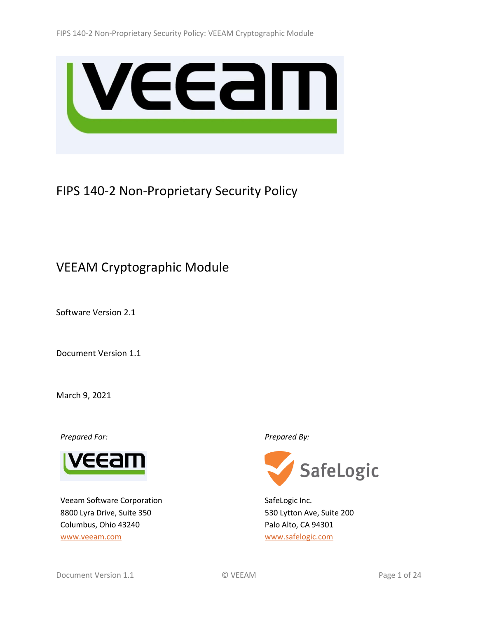

# FIPS 140-2 Non-Proprietary Security Policy

# VEEAM Cryptographic Module

Software Version 2.1

Document Version 1.1

March 9, 2021

*Prepared For: Prepared By:*



Veeam Software Corporation 8800 Lyra Drive, Suite 350 Columbus, Ohio 43240 [www.veeam.com](http://www.veeam.com/)



SafeLogic Inc. 530 Lytton Ave, Suite 200 Palo Alto, CA 94301 [www.safelogic.com](http://www.safelogic.com/)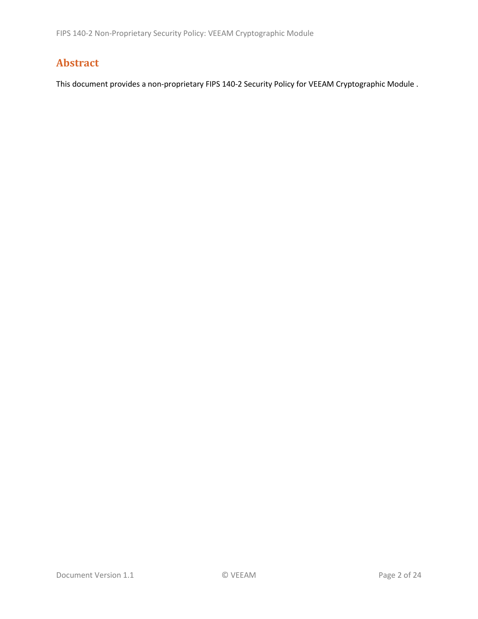# **Abstract**

This document provides a non-proprietary FIPS 140-2 Security Policy for VEEAM Cryptographic Module .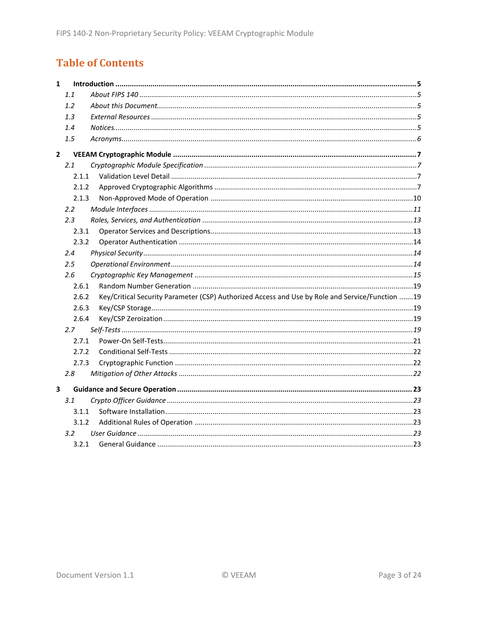# **Table of Contents**

| $\mathbf{1}$ |               |                                                                                                 |  |
|--------------|---------------|-------------------------------------------------------------------------------------------------|--|
|              | 1.1           |                                                                                                 |  |
|              | 1.2           |                                                                                                 |  |
|              | 1.3           |                                                                                                 |  |
|              | 1.4           |                                                                                                 |  |
|              | 1.5           |                                                                                                 |  |
| $\mathbf{2}$ |               |                                                                                                 |  |
|              | 2.1           |                                                                                                 |  |
|              | 2.1.1         |                                                                                                 |  |
|              | 2.1.2         |                                                                                                 |  |
|              | 2.1.3         |                                                                                                 |  |
|              | $2.2^{\circ}$ |                                                                                                 |  |
|              | 2.3           |                                                                                                 |  |
|              | 2.3.1         |                                                                                                 |  |
|              | 2.3.2         |                                                                                                 |  |
|              | 2.4           |                                                                                                 |  |
|              | $2.5\,$       |                                                                                                 |  |
|              | 2.6           |                                                                                                 |  |
|              | 2.6.1         |                                                                                                 |  |
|              | 2.6.2         | Key/Critical Security Parameter (CSP) Authorized Access and Use by Role and Service/Function 19 |  |
|              | 2.6.3         |                                                                                                 |  |
|              | 2.6.4         |                                                                                                 |  |
|              | 2.7           |                                                                                                 |  |
|              | 2.7.1         |                                                                                                 |  |
|              | 2.7.2         |                                                                                                 |  |
|              | 2.7.3         |                                                                                                 |  |
|              | 2.8           |                                                                                                 |  |
| 3            |               |                                                                                                 |  |
|              | 3.1           |                                                                                                 |  |
|              | 3.1.1         |                                                                                                 |  |
|              | 3.1.2         |                                                                                                 |  |
|              | $3.2^{\circ}$ |                                                                                                 |  |
|              | 3.2.1         |                                                                                                 |  |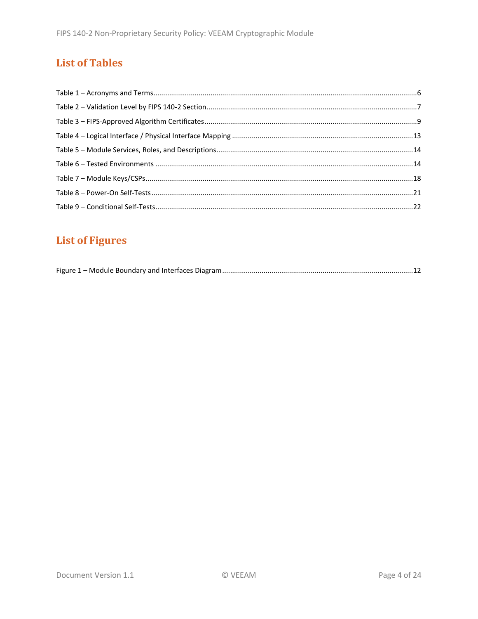# **List of Tables**

# **List of Figures**

|--|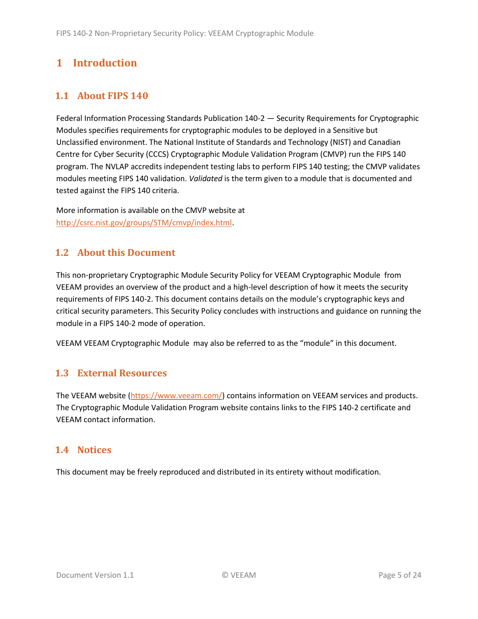# <span id="page-4-0"></span>**1 Introduction**

# <span id="page-4-1"></span>**1.1 About FIPS 140**

Federal Information Processing Standards Publication 140-2 — Security Requirements for Cryptographic Modules specifies requirements for cryptographic modules to be deployed in a Sensitive but Unclassified environment. The National Institute of Standards and Technology (NIST) and Canadian Centre for Cyber Security (CCCS) Cryptographic Module Validation Program (CMVP) run the FIPS 140 program. The NVLAP accredits independent testing labs to perform FIPS 140 testing; the CMVP validates modules meeting FIPS 140 validation. *Validated* is the term given to a module that is documented and tested against the FIPS 140 criteria.

More information is available on the CMVP website at [http://csrc.nist.gov/groups/STM/cmvp/index.html.](http://csrc.nist.gov/groups/STM/cmvp/index.html)

# <span id="page-4-2"></span>**1.2 About this Document**

This non-proprietary Cryptographic Module Security Policy for VEEAM Cryptographic Module from VEEAM provides an overview of the product and a high-level description of how it meets the security requirements of FIPS 140-2. This document contains details on the module's cryptographic keys and critical security parameters. This Security Policy concludes with instructions and guidance on running the module in a FIPS 140-2 mode of operation.

VEEAM VEEAM Cryptographic Module may also be referred to as the "module" in this document.

## <span id="page-4-3"></span>**1.3 External Resources**

The VEEAM website [\(https://www.veeam.com/\)](https://www.veeam.com/) contains information on VEEAM services and products. The Cryptographic Module Validation Program website contains links to the FIPS 140-2 certificate and VEEAM contact information.

## <span id="page-4-4"></span>**1.4 Notices**

This document may be freely reproduced and distributed in its entirety without modification.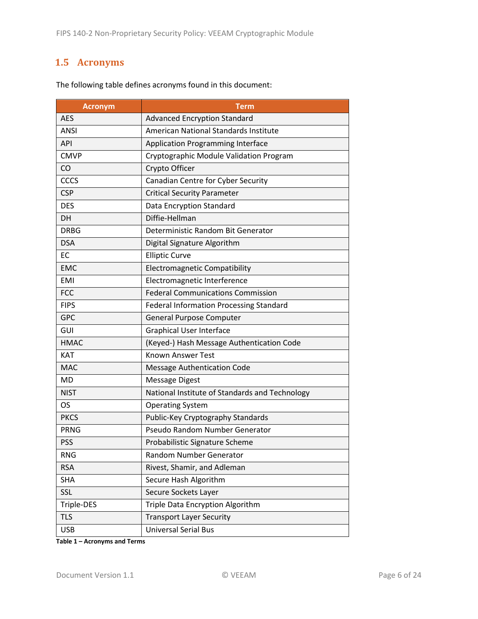# <span id="page-5-0"></span>**1.5 Acronyms**

| <b>Acronym</b> | <b>Term</b>                                    |
|----------------|------------------------------------------------|
| <b>AES</b>     | <b>Advanced Encryption Standard</b>            |
| <b>ANSI</b>    | <b>American National Standards Institute</b>   |
| <b>API</b>     | <b>Application Programming Interface</b>       |
| <b>CMVP</b>    | Cryptographic Module Validation Program        |
| CO             | Crypto Officer                                 |
| CCCS           | Canadian Centre for Cyber Security             |
| <b>CSP</b>     | <b>Critical Security Parameter</b>             |
| <b>DES</b>     | Data Encryption Standard                       |
| <b>DH</b>      | Diffie-Hellman                                 |
| <b>DRBG</b>    | Deterministic Random Bit Generator             |
| <b>DSA</b>     | Digital Signature Algorithm                    |
| EC             | <b>Elliptic Curve</b>                          |
| <b>EMC</b>     | <b>Electromagnetic Compatibility</b>           |
| <b>EMI</b>     | Electromagnetic Interference                   |
| <b>FCC</b>     | <b>Federal Communications Commission</b>       |
| <b>FIPS</b>    | <b>Federal Information Processing Standard</b> |
| <b>GPC</b>     | <b>General Purpose Computer</b>                |
| GUI            | <b>Graphical User Interface</b>                |
| <b>HMAC</b>    | (Keyed-) Hash Message Authentication Code      |
| <b>KAT</b>     | <b>Known Answer Test</b>                       |
| <b>MAC</b>     | <b>Message Authentication Code</b>             |
| MD             | <b>Message Digest</b>                          |
| <b>NIST</b>    | National Institute of Standards and Technology |
| OS.            | <b>Operating System</b>                        |
| <b>PKCS</b>    | Public-Key Cryptography Standards              |
| <b>PRNG</b>    | Pseudo Random Number Generator                 |
| <b>PSS</b>     | Probabilistic Signature Scheme                 |
| <b>RNG</b>     | Random Number Generator                        |
| <b>RSA</b>     | Rivest, Shamir, and Adleman                    |
| <b>SHA</b>     | Secure Hash Algorithm                          |
| <b>SSL</b>     | Secure Sockets Layer                           |
| Triple-DES     | Triple Data Encryption Algorithm               |
| <b>TLS</b>     | <b>Transport Layer Security</b>                |
| <b>USB</b>     | <b>Universal Serial Bus</b>                    |

The following table defines acronyms found in this document:

**Table 1 – Acronyms and Terms**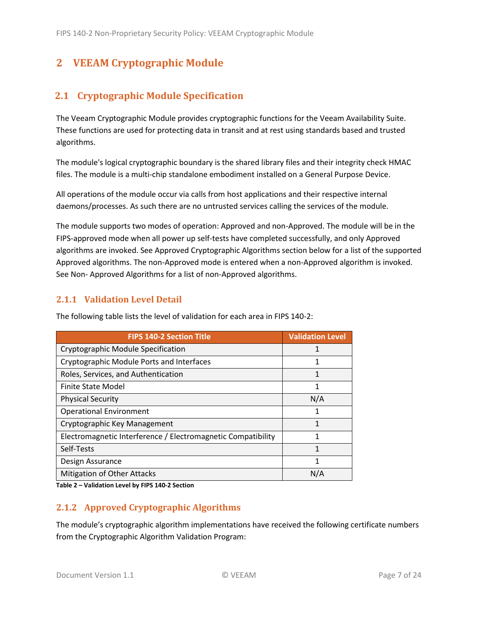# <span id="page-6-0"></span>**2 VEEAM Cryptographic Module**

# <span id="page-6-1"></span>**2.1 Cryptographic Module Specification**

The Veeam Cryptographic Module provides cryptographic functions for the Veeam Availability Suite. These functions are used for protecting data in transit and at rest using standards based and trusted algorithms.

The module's logical cryptographic boundary is the shared library files and their integrity check HMAC files. The module is a multi-chip standalone embodiment installed on a General Purpose Device.

All operations of the module occur via calls from host applications and their respective internal daemons/processes. As such there are no untrusted services calling the services of the module.

The module supports two modes of operation: Approved and non-Approved. The module will be in the FIPS-approved mode when all power up self-tests have completed successfully, and only Approved algorithms are invoked. See Approved Cryptographic Algorithms section below for a list of the supported Approved algorithms. The non-Approved mode is entered when a non-Approved algorithm is invoked. See Non- Approved Algorithms for a list of non-Approved algorithms.

## <span id="page-6-2"></span>**2.1.1 Validation Level Detail**

| <b>FIPS 140-2 Section Title</b>                              | <b>Validation Level</b> |
|--------------------------------------------------------------|-------------------------|
| Cryptographic Module Specification                           | 1                       |
| Cryptographic Module Ports and Interfaces                    | 1                       |
| Roles, Services, and Authentication                          | 1                       |
| <b>Finite State Model</b>                                    | 1                       |
| <b>Physical Security</b>                                     | N/A                     |
| <b>Operational Environment</b>                               | 1                       |
| Cryptographic Key Management                                 | 1                       |
| Electromagnetic Interference / Electromagnetic Compatibility | 1                       |
| Self-Tests                                                   | 1                       |
| Design Assurance                                             | 1                       |
| Mitigation of Other Attacks                                  | N/A                     |

The following table lists the level of validation for each area in FIPS 140-2:

**Table 2 – Validation Level by FIPS 140-2 Section**

## <span id="page-6-3"></span>**2.1.2 Approved Cryptographic Algorithms**

The module's cryptographic algorithm implementations have received the following certificate numbers from the Cryptographic Algorithm Validation Program: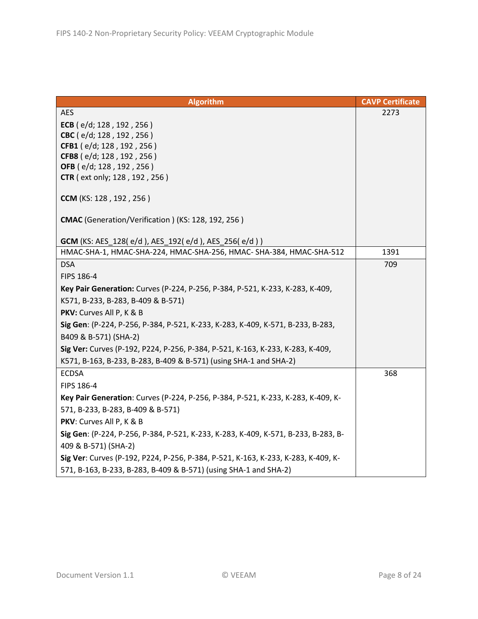| <b>Algorithm</b>                                                                   | <b>CAVP Certificate</b> |
|------------------------------------------------------------------------------------|-------------------------|
| <b>AES</b>                                                                         | 2273                    |
| ECB ( $e/d$ ; 128, 192, 256)                                                       |                         |
| CBC (e/d; 128, 192, 256)                                                           |                         |
| CFB1 (e/d; 128, 192, 256)                                                          |                         |
| CFB8 (e/d; 128, 192, 256)                                                          |                         |
| OFB (e/d; 128, 192, 256)                                                           |                         |
| <b>CTR</b> ( ext only; 128, 192, 256)                                              |                         |
| CCM (KS: 128, 192, 256)                                                            |                         |
| CMAC (Generation/Verification) (KS: 128, 192, 256)                                 |                         |
| <b>GCM</b> (KS: AES_128(e/d), AES_192(e/d), AES_256(e/d))                          |                         |
| HMAC-SHA-1, HMAC-SHA-224, HMAC-SHA-256, HMAC- SHA-384, HMAC-SHA-512                | 1391                    |
| <b>DSA</b>                                                                         | 709                     |
| FIPS 186-4                                                                         |                         |
| Key Pair Generation: Curves (P-224, P-256, P-384, P-521, K-233, K-283, K-409,      |                         |
| K571, B-233, B-283, B-409 & B-571)                                                 |                         |
| PKV: Curves All P, K & B                                                           |                         |
| Sig Gen: (P-224, P-256, P-384, P-521, K-233, K-283, K-409, K-571, B-233, B-283,    |                         |
| B409 & B-571) (SHA-2)                                                              |                         |
| Sig Ver: Curves (P-192, P224, P-256, P-384, P-521, K-163, K-233, K-283, K-409,     |                         |
| K571, B-163, B-233, B-283, B-409 & B-571) (using SHA-1 and SHA-2)                  |                         |
| <b>ECDSA</b>                                                                       | 368                     |
| FIPS 186-4                                                                         |                         |
| Key Pair Generation: Curves (P-224, P-256, P-384, P-521, K-233, K-283, K-409, K-   |                         |
| 571, B-233, B-283, B-409 & B-571)                                                  |                         |
| PKV: Curves All P, K & B                                                           |                         |
| Sig Gen: (P-224, P-256, P-384, P-521, K-233, K-283, K-409, K-571, B-233, B-283, B- |                         |
| 409 & B-571) (SHA-2)                                                               |                         |
| Sig Ver: Curves (P-192, P224, P-256, P-384, P-521, K-163, K-233, K-283, K-409, K-  |                         |
| 571, B-163, B-233, B-283, B-409 & B-571) (using SHA-1 and SHA-2)                   |                         |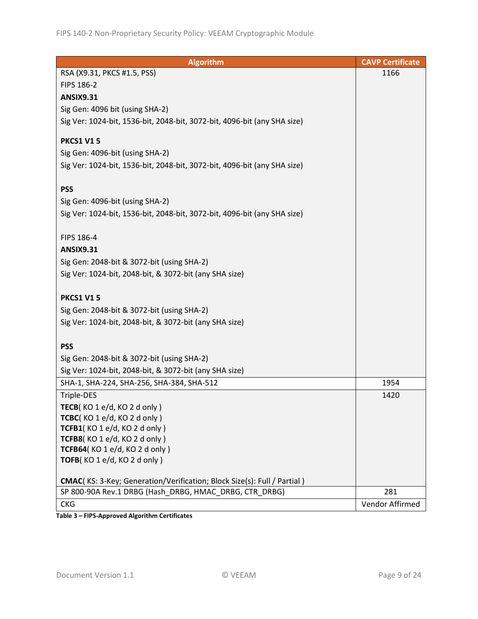| <b>Algorithm</b>                                                                | <b>CAVP Certificate</b> |
|---------------------------------------------------------------------------------|-------------------------|
| RSA (X9.31, PKCS #1.5, PSS)                                                     | 1166                    |
| FIPS 186-2                                                                      |                         |
| <b>ANSIX9.31</b>                                                                |                         |
| Sig Gen: 4096 bit (using SHA-2)                                                 |                         |
| Sig Ver: 1024-bit, 1536-bit, 2048-bit, 3072-bit, 4096-bit (any SHA size)        |                         |
|                                                                                 |                         |
| <b>PKCS1 V15</b>                                                                |                         |
| Sig Gen: 4096-bit (using SHA-2)                                                 |                         |
| Sig Ver: 1024-bit, 1536-bit, 2048-bit, 3072-bit, 4096-bit (any SHA size)        |                         |
|                                                                                 |                         |
| <b>PSS</b>                                                                      |                         |
| Sig Gen: 4096-bit (using SHA-2)                                                 |                         |
| Sig Ver: 1024-bit, 1536-bit, 2048-bit, 3072-bit, 4096-bit (any SHA size)        |                         |
|                                                                                 |                         |
| FIPS 186-4                                                                      |                         |
| <b>ANSIX9.31</b>                                                                |                         |
| Sig Gen: 2048-bit & 3072-bit (using SHA-2)                                      |                         |
| Sig Ver: 1024-bit, 2048-bit, & 3072-bit (any SHA size)                          |                         |
|                                                                                 |                         |
| <b>PKCS1 V15</b>                                                                |                         |
| Sig Gen: 2048-bit & 3072-bit (using SHA-2)                                      |                         |
| Sig Ver: 1024-bit, 2048-bit, & 3072-bit (any SHA size)                          |                         |
|                                                                                 |                         |
| <b>PSS</b>                                                                      |                         |
| Sig Gen: 2048-bit & 3072-bit (using SHA-2)                                      |                         |
| Sig Ver: 1024-bit, 2048-bit, & 3072-bit (any SHA size)                          |                         |
| SHA-1, SHA-224, SHA-256, SHA-384, SHA-512                                       | 1954                    |
| Triple-DES                                                                      | 1420                    |
| TECB( $KO 1 e/d$ , $KO 2 d only$ )                                              |                         |
| TCBC(KO 1 e/d, KO 2 d only)                                                     |                         |
| TCFB1(KO1e/d, KO2donly)                                                         |                         |
| TCFB8(KO1e/d, KO2donly)                                                         |                         |
| TCFB64(KO 1 e/d, KO 2 d only)<br>TOFB(KO 1 e/d, KO 2 d only)                    |                         |
|                                                                                 |                         |
| <b>CMAC</b> (KS: 3-Key; Generation/Verification; Block Size(s): Full / Partial) |                         |
| SP 800-90A Rev.1 DRBG (Hash DRBG, HMAC DRBG, CTR DRBG)                          | 281                     |
| <b>CKG</b>                                                                      | Vendor Affirmed         |

**Table 3 – FIPS-Approved Algorithm Certificates**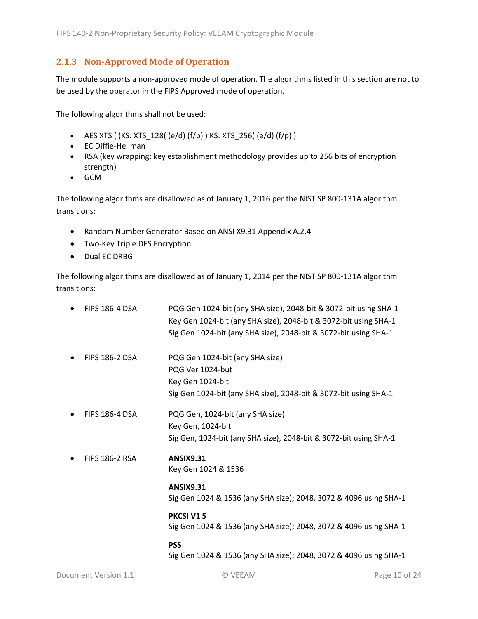### <span id="page-9-0"></span>**2.1.3 Non-Approved Mode of Operation**

The module supports a non-approved mode of operation. The algorithms listed in this section are not to be used by the operator in the FIPS Approved mode of operation.

The following algorithms shall not be used:

- AES XTS (  $(KS: XTS_128$  (  $(e/d)$   $(f/p)$  )  $KS: XTS_256$  (  $(e/d)$   $(f/p)$  )
- EC Diffie-Hellman
- RSA (key wrapping; key establishment methodology provides up to 256 bits of encryption strength)
- GCM

The following algorithms are disallowed as of January 1, 2016 per the NIST SP 800-131A algorithm transitions:

- Random Number Generator Based on ANSI X9.31 Appendix A.2.4
- Two-Key Triple DES Encryption
- Dual EC DRBG

The following algorithms are disallowed as of January 1, 2014 per the NIST SP 800-131A algorithm transitions:

| <b>FIPS 186-4 DSA</b> | PQG Gen 1024-bit (any SHA size), 2048-bit & 3072-bit using SHA-1<br>Key Gen 1024-bit (any SHA size), 2048-bit & 3072-bit using SHA-1<br>Sig Gen 1024-bit (any SHA size), 2048-bit & 3072-bit using SHA-1 |
|-----------------------|----------------------------------------------------------------------------------------------------------------------------------------------------------------------------------------------------------|
| <b>FIPS 186-2 DSA</b> | PQG Gen 1024-bit (any SHA size)<br>PQG Ver 1024-but<br>Key Gen 1024-bit<br>Sig Gen 1024-bit (any SHA size), 2048-bit & 3072-bit using SHA-1                                                              |
| <b>FIPS 186-4 DSA</b> | PQG Gen, 1024-bit (any SHA size)<br>Key Gen, 1024-bit<br>Sig Gen, 1024-bit (any SHA size), 2048-bit & 3072-bit using SHA-1                                                                               |
| <b>FIPS 186-2 RSA</b> | <b>ANSIX9.31</b><br>Key Gen 1024 & 1536                                                                                                                                                                  |
|                       | <b>ANSIX9.31</b><br>Sig Gen 1024 & 1536 (any SHA size); 2048, 3072 & 4096 using SHA-1                                                                                                                    |
|                       | <b>PKCSI V15</b><br>Sig Gen 1024 & 1536 (any SHA size); 2048, 3072 & 4096 using SHA-1                                                                                                                    |
|                       | <b>PSS</b><br>Sig Gen 1024 & 1536 (any SHA size); 2048, 3072 & 4096 using SHA-1                                                                                                                          |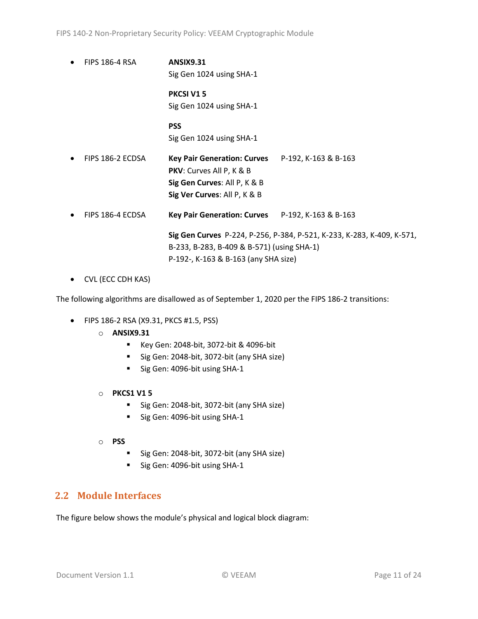FIPS 140-2 Non-Proprietary Security Policy: VEEAM Cryptographic Module

• FIPS 186-4 RSA **ANSIX9.31** Sig Gen 1024 using SHA-1

> **PKCSI V1 5** Sig Gen 1024 using SHA-1

> **PSS** Sig Gen 1024 using SHA-1

- FIPS 186-2 ECDSA **Key Pair Generation: Curves** P-192, K-163 & B-163 **PKV**: Curves All P, K & B **Sig Gen Curves**: All P, K & B **Sig Ver Curves**: All P, K & B
- FIPS 186-4 ECDSA **Key Pair Generation: Curves** P-192, K-163 & B-163

**Sig Gen Curves** P-224, P-256, P-384, P-521, K-233, K-283, K-409, K-571, B-233, B-283, B-409 & B-571) (using SHA-1) P-192-, K-163 & B-163 (any SHA size)

• CVL (ECC CDH KAS)

The following algorithms are disallowed as of September 1, 2020 per the FIPS 186-2 transitions:

- FIPS 186-2 RSA (X9.31, PKCS #1.5, PSS)
	- o **ANSIX9.31**
		- Key Gen: 2048-bit, 3072-bit & 4096-bit
		- Sig Gen: 2048-bit, 3072-bit (any SHA size)
		- Sig Gen: 4096-bit using SHA-1
	- o **PKCS1 V1 5**
		- Sig Gen: 2048-bit, 3072-bit (any SHA size)
		- Sig Gen: 4096-bit using SHA-1
	- o **PSS**
		- Sig Gen: 2048-bit, 3072-bit (any SHA size)
		- Sig Gen: 4096-bit using SHA-1

## <span id="page-10-0"></span>**2.2 Module Interfaces**

The figure below shows the module's physical and logical block diagram: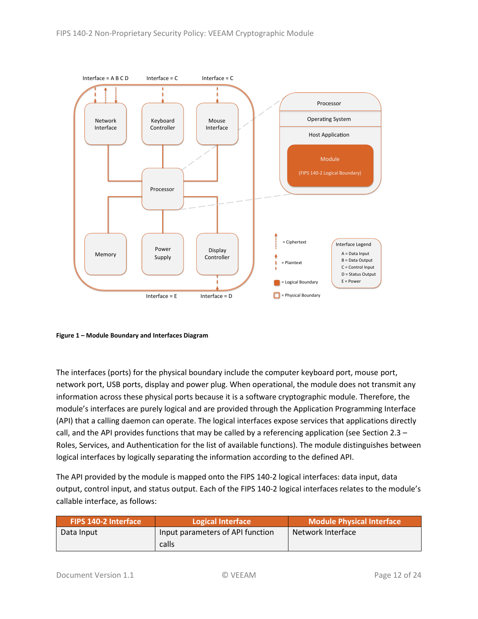

<span id="page-11-0"></span>**Figure 1 – Module Boundary and Interfaces Diagram**

The interfaces (ports) for the physical boundary include the computer keyboard port, mouse port, network port, USB ports, display and power plug. When operational, the module does not transmit any information across these physical ports because it is a software cryptographic module. Therefore, the module's interfaces are purely logical and are provided through the Application Programming Interface (API) that a calling daemon can operate. The logical interfaces expose services that applications directly call, and the API provides functions that may be called by a referencing application (see Sectio[n 2.3](#page-12-0) – Roles, Services, [and Authentication](#page-12-0) for the list of available functions). The module distinguishes between logical interfaces by logically separating the information according to the defined API.

The API provided by the module is mapped onto the FIPS 140-2 logical interfaces: data input, data output, control input, and status output. Each of the FIPS 140-2 logical interfaces relates to the module's callable interface, as follows:

| <b>FIPS 140-2 Interface</b> | Logical Interface                | Module Physical Interface |
|-----------------------------|----------------------------------|---------------------------|
| Data Input                  | Input parameters of API function | Network Interface         |
|                             | calls                            |                           |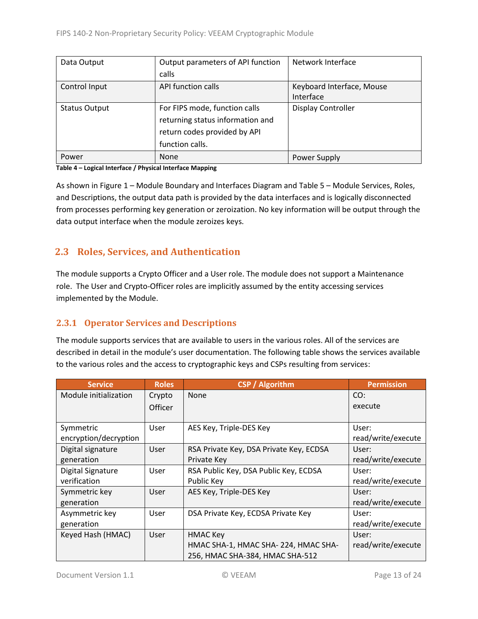| Data Output          | Output parameters of API function | Network Interface         |  |
|----------------------|-----------------------------------|---------------------------|--|
|                      | calls                             |                           |  |
| Control Input        | API function calls                | Keyboard Interface, Mouse |  |
|                      |                                   | Interface                 |  |
| <b>Status Output</b> | For FIPS mode, function calls     | <b>Display Controller</b> |  |
|                      | returning status information and  |                           |  |
|                      | return codes provided by API      |                           |  |
|                      | function calls.                   |                           |  |
| Power                | <b>None</b>                       | Power Supply              |  |

#### **Table 4 – Logical Interface / Physical Interface Mapping**

As shown in Figure 1 – [Module Boundary and Interfaces Diagram](#page-11-0) and Table 5 – Module [Services, Roles,](#page-13-3) [and Descriptions,](#page-13-3) the output data path is provided by the data interfaces and is logically disconnected from processes performing key generation or zeroization. No key information will be output through the data output interface when the module zeroizes keys.

## <span id="page-12-0"></span>**2.3 Roles, Services, and Authentication**

The module supports a Crypto Officer and a User role. The module does not support a Maintenance role. The User and Crypto-Officer roles are implicitly assumed by the entity accessing services implemented by the Module.

### <span id="page-12-1"></span>**2.3.1 Operator Services and Descriptions**

The module supports services that are available to users in the various roles. All of the services are described in detail in the module's user documentation. The following table shows the services available to the various roles and the access to cryptographic keys and CSPs resulting from services:

| <b>Service</b>        | <b>Roles</b> | <b>CSP</b> / Algorithm                  | <b>Permission</b>  |
|-----------------------|--------------|-----------------------------------------|--------------------|
| Module initialization | Crypto       | <b>None</b>                             | CO:                |
|                       | Officer      |                                         | execute            |
|                       |              |                                         |                    |
| Symmetric             | User         | AES Key, Triple-DES Key                 | User:              |
| encryption/decryption |              |                                         | read/write/execute |
| Digital signature     | User         | RSA Private Key, DSA Private Key, ECDSA | User:              |
| generation            |              | Private Key                             | read/write/execute |
| Digital Signature     | User         | RSA Public Key, DSA Public Key, ECDSA   | User:              |
| verification          |              | Public Key                              | read/write/execute |
| Symmetric key         | User         | AES Key, Triple-DES Key                 | User:              |
| generation            |              |                                         | read/write/execute |
| Asymmetric key        | User         | DSA Private Key, ECDSA Private Key      | User:              |
| generation            |              |                                         | read/write/execute |
| Keyed Hash (HMAC)     | User         | <b>HMAC Key</b>                         | User:              |
|                       |              | HMAC SHA-1, HMAC SHA-224, HMAC SHA-     | read/write/execute |
|                       |              | 256, HMAC SHA-384, HMAC SHA-512         |                    |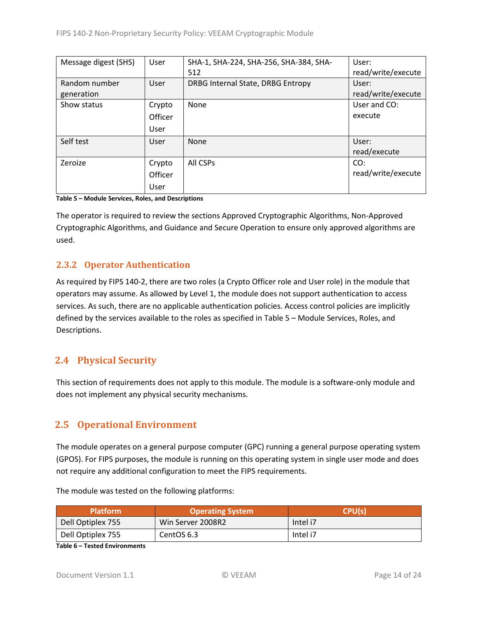| Message digest (SHS) | User    | SHA-1, SHA-224, SHA-256, SHA-384, SHA- | User:              |
|----------------------|---------|----------------------------------------|--------------------|
|                      |         | 512                                    | read/write/execute |
| Random number        | User    | DRBG Internal State, DRBG Entropy      | User:              |
| generation           |         |                                        | read/write/execute |
| Show status          | Crypto  | None                                   | User and CO:       |
|                      | Officer |                                        | execute            |
|                      | User    |                                        |                    |
| Self test            | User    | <b>None</b>                            | User:              |
|                      |         |                                        | read/execute       |
| Zeroize              | Crypto  | All CSPs                               | CO:                |
|                      | Officer |                                        | read/write/execute |
|                      | User    |                                        |                    |

<span id="page-13-3"></span>**Table 5 – Module Services, Roles, and Descriptions**

The operator is required to review the sections Approved Cryptographic Algorithms, Non-Approved Cryptographic Algorithms, and Guidance and Secure Operation to ensure only approved algorithms are used.

### <span id="page-13-0"></span>**2.3.2 Operator Authentication**

As required by FIPS 140-2, there are two roles (a Crypto Officer role and User role) in the module that operators may assume. As allowed by Level 1, the module does not support authentication to access services. As such, there are no applicable authentication policies. Access control policies are implicitly defined by the services available to the roles as specified in Table 5 – Module [Services, Roles,](#page-13-3) and [Descriptions.](#page-13-3)

# <span id="page-13-1"></span>**2.4 Physical Security**

This section of requirements does not apply to this module. The module is a software-only module and does not implement any physical security mechanisms.

# <span id="page-13-2"></span>**2.5 Operational Environment**

The module operates on a general purpose computer (GPC) running a general purpose operating system (GPOS). For FIPS purposes, the module is running on this operating system in single user mode and does not require any additional configuration to meet the FIPS requirements.

| <b>Platform</b>   | Operating System  | CPU(s)   |
|-------------------|-------------------|----------|
| Dell Optiplex 755 | Win Server 2008R2 | Intel i7 |
| Dell Optiplex 755 | CentOS 6.3        | Intel i7 |

The module was tested on the following platforms:

**Table 6 – Tested Environments**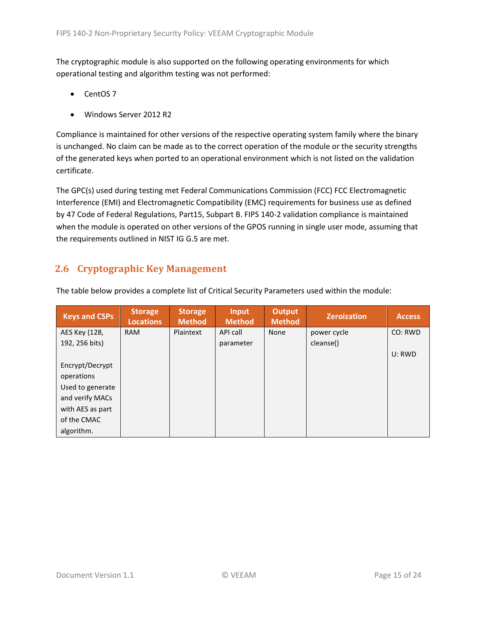The cryptographic module is also supported on the following operating environments for which operational testing and algorithm testing was not performed:

- CentOS 7
- Windows Server 2012 R2

Compliance is maintained for other versions of the respective operating system family where the binary is unchanged. No claim can be made as to the correct operation of the module or the security strengths of the generated keys when ported to an operational environment which is not listed on the validation certificate.

The GPC(s) used during testing met Federal Communications Commission (FCC) FCC Electromagnetic Interference (EMI) and Electromagnetic Compatibility (EMC) requirements for business use as defined by 47 Code of Federal Regulations, Part15, Subpart B. FIPS 140-2 validation compliance is maintained when the module is operated on other versions of the GPOS running in single user mode, assuming that the requirements outlined in NIST IG G.5 are met.

# <span id="page-14-0"></span>**2.6 Cryptographic Key Management**

| <b>Keys and CSPs</b> | <b>Storage</b><br><b>Locations</b> | <b>Storage</b><br><b>Method</b> | <b>Input</b><br><b>Method</b> | <b>Output</b><br><b>Method</b> | <b>Zeroization</b> | <b>Access</b> |
|----------------------|------------------------------------|---------------------------------|-------------------------------|--------------------------------|--------------------|---------------|
| AES Key (128,        | <b>RAM</b>                         | Plaintext                       | API call                      | None                           | power cycle        | CO: RWD       |
| 192, 256 bits)       |                                    |                                 | parameter                     |                                | cleanse()          |               |
|                      |                                    |                                 |                               |                                |                    | U: RWD        |
| Encrypt/Decrypt      |                                    |                                 |                               |                                |                    |               |
| operations           |                                    |                                 |                               |                                |                    |               |
| Used to generate     |                                    |                                 |                               |                                |                    |               |
| and verify MACs      |                                    |                                 |                               |                                |                    |               |
| with AES as part     |                                    |                                 |                               |                                |                    |               |
| of the CMAC          |                                    |                                 |                               |                                |                    |               |
| algorithm.           |                                    |                                 |                               |                                |                    |               |

The table below provides a complete list of Critical Security Parameters used within the module: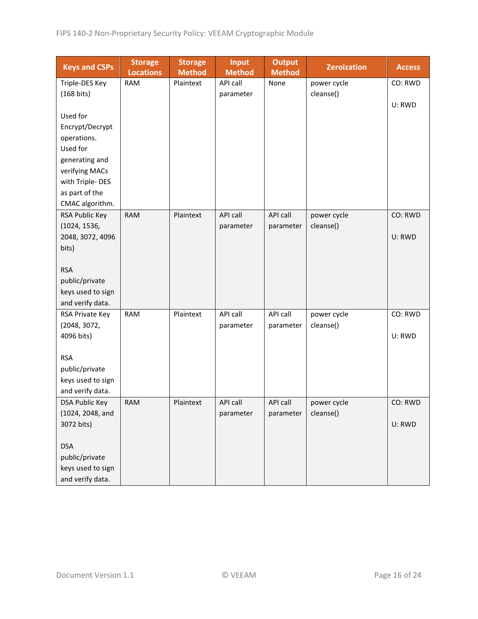| <b>Keys and CSPs</b>  | <b>Storage</b><br><b>Locations</b> | <b>Storage</b><br><b>Method</b> | <b>Input</b><br><b>Method</b> | <b>Output</b><br><b>Method</b> | <b>Zeroization</b> | <b>Access</b> |
|-----------------------|------------------------------------|---------------------------------|-------------------------------|--------------------------------|--------------------|---------------|
| Triple-DES Key        | <b>RAM</b>                         | Plaintext                       | API call                      | None                           | power cycle        | CO: RWD       |
| $(168 \text{ bits})$  |                                    |                                 | parameter                     |                                | cleanse()          |               |
|                       |                                    |                                 |                               |                                |                    | U: RWD        |
| Used for              |                                    |                                 |                               |                                |                    |               |
| Encrypt/Decrypt       |                                    |                                 |                               |                                |                    |               |
| operations.           |                                    |                                 |                               |                                |                    |               |
| Used for              |                                    |                                 |                               |                                |                    |               |
| generating and        |                                    |                                 |                               |                                |                    |               |
| verifying MACs        |                                    |                                 |                               |                                |                    |               |
| with Triple-DES       |                                    |                                 |                               |                                |                    |               |
| as part of the        |                                    |                                 |                               |                                |                    |               |
| CMAC algorithm.       |                                    |                                 |                               |                                |                    |               |
| RSA Public Key        | <b>RAM</b>                         | Plaintext                       | <b>API call</b>               | API call                       | power cycle        | CO: RWD       |
| (1024, 1536,          |                                    |                                 | parameter                     | parameter                      | cleanse()          |               |
| 2048, 3072, 4096      |                                    |                                 |                               |                                |                    | U: RWD        |
| bits)                 |                                    |                                 |                               |                                |                    |               |
|                       |                                    |                                 |                               |                                |                    |               |
| <b>RSA</b>            |                                    |                                 |                               |                                |                    |               |
| public/private        |                                    |                                 |                               |                                |                    |               |
| keys used to sign     |                                    |                                 |                               |                                |                    |               |
| and verify data.      |                                    |                                 |                               |                                |                    |               |
| RSA Private Key       | <b>RAM</b>                         | Plaintext                       | API call                      | API call                       | power cycle        | CO: RWD       |
| (2048, 3072,          |                                    |                                 | parameter                     | parameter                      | cleanse()          |               |
| 4096 bits)            |                                    |                                 |                               |                                |                    | U: RWD        |
|                       |                                    |                                 |                               |                                |                    |               |
| <b>RSA</b>            |                                    |                                 |                               |                                |                    |               |
| public/private        |                                    |                                 |                               |                                |                    |               |
| keys used to sign     |                                    |                                 |                               |                                |                    |               |
| and verify data.      |                                    |                                 |                               |                                |                    |               |
| <b>DSA Public Key</b> | <b>RAM</b>                         | Plaintext                       | API call                      | API call                       | power cycle        | CO: RWD       |
| (1024, 2048, and      |                                    |                                 | parameter                     | parameter                      | cleanse()          |               |
| 3072 bits)            |                                    |                                 |                               |                                |                    | U: RWD        |
| <b>DSA</b>            |                                    |                                 |                               |                                |                    |               |
| public/private        |                                    |                                 |                               |                                |                    |               |
| keys used to sign     |                                    |                                 |                               |                                |                    |               |
| and verify data.      |                                    |                                 |                               |                                |                    |               |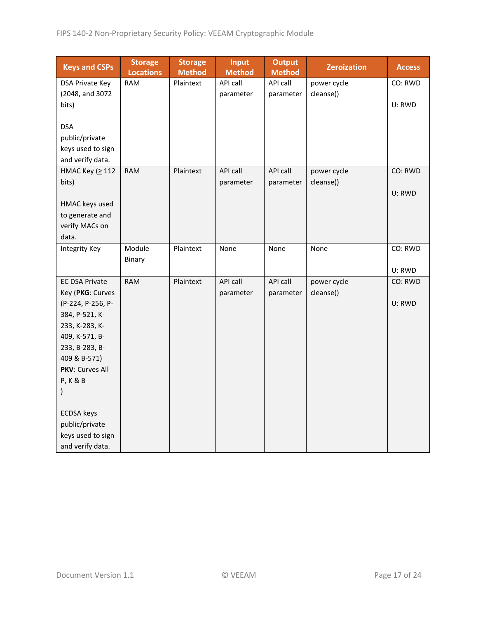| <b>Keys and CSPs</b>  | <b>Storage</b><br><b>Locations</b> | <b>Storage</b><br><b>Method</b> | Input<br><b>Method</b> | <b>Output</b><br><b>Method</b> | <b>Zeroization</b> | <b>Access</b> |
|-----------------------|------------------------------------|---------------------------------|------------------------|--------------------------------|--------------------|---------------|
| DSA Private Key       | <b>RAM</b>                         | Plaintext                       | API call               | API call                       | power cycle        | CO: RWD       |
| (2048, and 3072       |                                    |                                 | parameter              | parameter                      | cleanse()          |               |
| bits)                 |                                    |                                 |                        |                                |                    | U: RWD        |
|                       |                                    |                                 |                        |                                |                    |               |
| <b>DSA</b>            |                                    |                                 |                        |                                |                    |               |
| public/private        |                                    |                                 |                        |                                |                    |               |
| keys used to sign     |                                    |                                 |                        |                                |                    |               |
| and verify data.      |                                    |                                 |                        |                                |                    |               |
| НМАС Кеу (≥ 112       | <b>RAM</b>                         | Plaintext                       | API call               | API call                       | power cycle        | CO: RWD       |
| bits)                 |                                    |                                 | parameter              | parameter                      | cleanse()          |               |
|                       |                                    |                                 |                        |                                |                    | U: RWD        |
| HMAC keys used        |                                    |                                 |                        |                                |                    |               |
| to generate and       |                                    |                                 |                        |                                |                    |               |
| verify MACs on        |                                    |                                 |                        |                                |                    |               |
| data.                 |                                    |                                 |                        |                                |                    |               |
| <b>Integrity Key</b>  | Module                             | Plaintext                       | None                   | None                           | None               | CO: RWD       |
|                       | Binary                             |                                 |                        |                                |                    |               |
|                       |                                    |                                 |                        |                                |                    | U: RWD        |
| <b>EC DSA Private</b> | <b>RAM</b>                         | Plaintext                       | API call               | API call                       | power cycle        | CO: RWD       |
| Key (PKG: Curves      |                                    |                                 | parameter              | parameter                      | cleanse()          |               |
| (P-224, P-256, P-     |                                    |                                 |                        |                                |                    | U: RWD        |
| 384, P-521, K-        |                                    |                                 |                        |                                |                    |               |
| 233, K-283, K-        |                                    |                                 |                        |                                |                    |               |
| 409, K-571, B-        |                                    |                                 |                        |                                |                    |               |
| 233, B-283, B-        |                                    |                                 |                        |                                |                    |               |
| 409 & B-571)          |                                    |                                 |                        |                                |                    |               |
| PKV: Curves All       |                                    |                                 |                        |                                |                    |               |
| <b>P, K &amp; B</b>   |                                    |                                 |                        |                                |                    |               |
| $\mathcal{E}$         |                                    |                                 |                        |                                |                    |               |
| <b>ECDSA</b> keys     |                                    |                                 |                        |                                |                    |               |
| public/private        |                                    |                                 |                        |                                |                    |               |
| keys used to sign     |                                    |                                 |                        |                                |                    |               |
| and verify data.      |                                    |                                 |                        |                                |                    |               |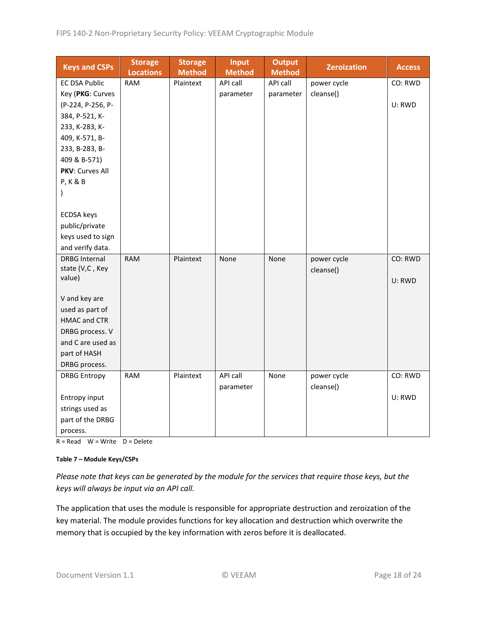| <b>Keys and CSPs</b> | <b>Storage</b><br><b>Locations</b> | <b>Storage</b><br><b>Method</b> | <b>Input</b><br><b>Method</b> | <b>Output</b><br><b>Method</b> | <b>Zeroization</b> | <b>Access</b> |
|----------------------|------------------------------------|---------------------------------|-------------------------------|--------------------------------|--------------------|---------------|
| <b>EC DSA Public</b> | <b>RAM</b>                         | Plaintext                       | API call                      | API call                       | power cycle        | CO: RWD       |
| Key (PKG: Curves     |                                    |                                 | parameter                     | parameter                      | cleanse()          |               |
| (P-224, P-256, P-    |                                    |                                 |                               |                                |                    | U: RWD        |
| 384, P-521, K-       |                                    |                                 |                               |                                |                    |               |
| 233, K-283, K-       |                                    |                                 |                               |                                |                    |               |
| 409, K-571, B-       |                                    |                                 |                               |                                |                    |               |
| 233, B-283, B-       |                                    |                                 |                               |                                |                    |               |
| 409 & B-571)         |                                    |                                 |                               |                                |                    |               |
| PKV: Curves All      |                                    |                                 |                               |                                |                    |               |
| <b>P, K &amp; B</b>  |                                    |                                 |                               |                                |                    |               |
| $\mathcal{E}$        |                                    |                                 |                               |                                |                    |               |
|                      |                                    |                                 |                               |                                |                    |               |
| <b>ECDSA</b> keys    |                                    |                                 |                               |                                |                    |               |
| public/private       |                                    |                                 |                               |                                |                    |               |
| keys used to sign    |                                    |                                 |                               |                                |                    |               |
| and verify data.     |                                    |                                 |                               |                                |                    |               |
| <b>DRBG Internal</b> | <b>RAM</b>                         | Plaintext                       | None                          | None                           | power cycle        | CO: RWD       |
| state (V,C, Key      |                                    |                                 |                               |                                | cleanse()          |               |
| value)               |                                    |                                 |                               |                                |                    | U: RWD        |
| V and key are        |                                    |                                 |                               |                                |                    |               |
| used as part of      |                                    |                                 |                               |                                |                    |               |
| <b>HMAC and CTR</b>  |                                    |                                 |                               |                                |                    |               |
| DRBG process. V      |                                    |                                 |                               |                                |                    |               |
| and C are used as    |                                    |                                 |                               |                                |                    |               |
| part of HASH         |                                    |                                 |                               |                                |                    |               |
| DRBG process.        |                                    |                                 |                               |                                |                    |               |
| <b>DRBG Entropy</b>  | <b>RAM</b>                         | Plaintext                       | API call                      | None                           | power cycle        | CO: RWD       |
|                      |                                    |                                 | parameter                     |                                | cleanse()          |               |
| Entropy input        |                                    |                                 |                               |                                |                    | U: RWD        |
| strings used as      |                                    |                                 |                               |                                |                    |               |
| part of the DRBG     |                                    |                                 |                               |                                |                    |               |
| process.             |                                    |                                 |                               |                                |                    |               |

 $R = Read$  W = Write D = Delete

#### **Table 7 – Module Keys/CSPs**

*Please note that keys can be generated by the module for the services that require those keys, but the keys will always be input via an API call.*

The application that uses the module is responsible for appropriate destruction and zeroization of the key material. The module provides functions for key allocation and destruction which overwrite the memory that is occupied by the key information with zeros before it is deallocated.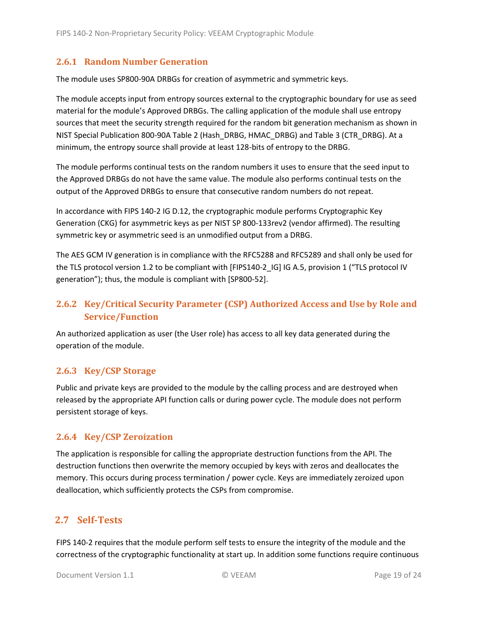#### <span id="page-18-0"></span>**2.6.1 Random Number Generation**

The module uses SP800-90A DRBGs for creation of asymmetric and symmetric keys.

The module accepts input from entropy sources external to the cryptographic boundary for use as seed material for the module's Approved DRBGs. The calling application of the module shall use entropy sources that meet the security strength required for the random bit generation mechanism as shown in NIST Special Publication 800-90A Table 2 (Hash\_DRBG, HMAC\_DRBG) and Table 3 (CTR\_DRBG). At a minimum, the entropy source shall provide at least 128-bits of entropy to the DRBG.

The module performs continual tests on the random numbers it uses to ensure that the seed input to the Approved DRBGs do not have the same value. The module also performs continual tests on the output of the Approved DRBGs to ensure that consecutive random numbers do not repeat.

In accordance with FIPS 140-2 IG D.12, the cryptographic module performs Cryptographic Key Generation (CKG) for asymmetric keys as per NIST SP 800-133rev2 (vendor affirmed). The resulting symmetric key or asymmetric seed is an unmodified output from a DRBG.

The AES GCM IV generation is in compliance with the RFC5288 and RFC5289 and shall only be used for the TLS protocol version 1.2 to be compliant with [FIPS140-2 IG] IG A.5, provision 1 ("TLS protocol IV generation"); thus, the module is compliant with [SP800-52].

## <span id="page-18-1"></span>**2.6.2 Key/Critical Security Parameter (CSP) Authorized Access and Use by Role and Service/Function**

An authorized application as user (the User role) has access to all key data generated during the operation of the module.

### <span id="page-18-2"></span>**2.6.3 Key/CSP Storage**

Public and private keys are provided to the module by the calling process and are destroyed when released by the appropriate API function calls or during power cycle. The module does not perform persistent storage of keys.

### <span id="page-18-3"></span>**2.6.4 Key/CSP Zeroization**

The application is responsible for calling the appropriate destruction functions from the API. The destruction functions then overwrite the memory occupied by keys with zeros and deallocates the memory. This occurs during process termination / power cycle. Keys are immediately zeroized upon deallocation, which sufficiently protects the CSPs from compromise.

### <span id="page-18-4"></span>**2.7 Self-Tests**

FIPS 140-2 requires that the module perform self tests to ensure the integrity of the module and the correctness of the cryptographic functionality at start up. In addition some functions require continuous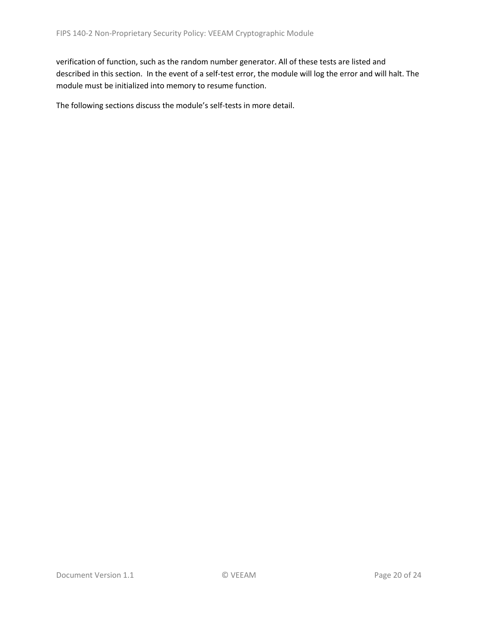verification of function, such as the random number generator. All of these tests are listed and described in this section. In the event of a self-test error, the module will log the error and will halt. The module must be initialized into memory to resume function.

The following sections discuss the module's self-tests in more detail.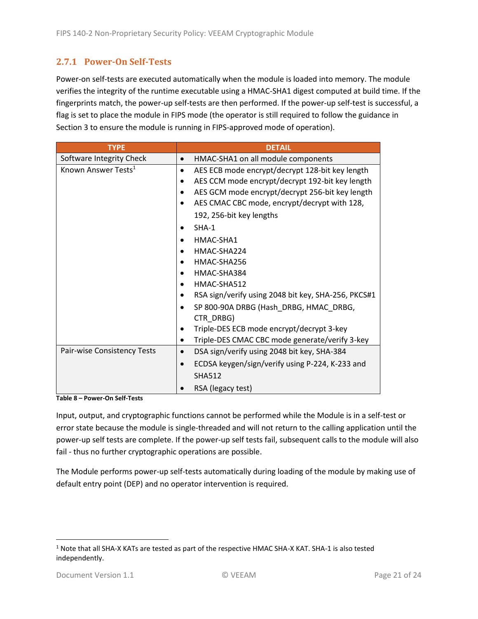### <span id="page-20-0"></span>**2.7.1 Power-On Self-Tests**

Power-on self-tests are executed automatically when the module is loaded into memory. The module verifies the integrity of the runtime executable using a HMAC-SHA1 digest computed at build time. If the fingerprints match, the power-up self-tests are then performed. If the power-up self-test is successful, a flag is set to place the module in FIPS mode (the operator is still required to follow the guidance in Section 3 to ensure the module is running in FIPS-approved mode of operation).

| <b>TYPE</b>                     | <b>DETAIL</b>                                        |
|---------------------------------|------------------------------------------------------|
| Software Integrity Check        | HMAC-SHA1 on all module components                   |
| Known Answer Tests <sup>1</sup> | AES ECB mode encrypt/decrypt 128-bit key length<br>٠ |
|                                 | AES CCM mode encrypt/decrypt 192-bit key length      |
|                                 | AES GCM mode encrypt/decrypt 256-bit key length      |
|                                 | AES CMAC CBC mode, encrypt/decrypt with 128,         |
|                                 | 192, 256-bit key lengths                             |
|                                 | $SHA-1$                                              |
|                                 | HMAC-SHA1                                            |
|                                 | HMAC-SHA224                                          |
|                                 | HMAC-SHA256                                          |
|                                 | HMAC-SHA384                                          |
|                                 | HMAC-SHA512                                          |
|                                 | RSA sign/verify using 2048 bit key, SHA-256, PKCS#1  |
|                                 | SP 800-90A DRBG (Hash_DRBG, HMAC_DRBG,               |
|                                 | CTR_DRBG)                                            |
|                                 | Triple-DES ECB mode encrypt/decrypt 3-key            |
|                                 | Triple-DES CMAC CBC mode generate/verify 3-key       |
| Pair-wise Consistency Tests     | DSA sign/verify using 2048 bit key, SHA-384          |
|                                 | ECDSA keygen/sign/verify using P-224, K-233 and      |
|                                 | <b>SHA512</b>                                        |
|                                 | RSA (legacy test)                                    |

**Table 8 – Power-On Self-Tests**

Input, output, and cryptographic functions cannot be performed while the Module is in a self-test or error state because the module is single-threaded and will not return to the calling application until the power-up self tests are complete. If the power-up self tests fail, subsequent calls to the module will also fail - thus no further cryptographic operations are possible.

The Module performs power-up self-tests automatically during loading of the module by making use of default entry point (DEP) and no operator intervention is required.

<sup>1</sup> Note that all SHA-X KATs are tested as part of the respective HMAC SHA-X KAT. SHA-1 is also tested independently.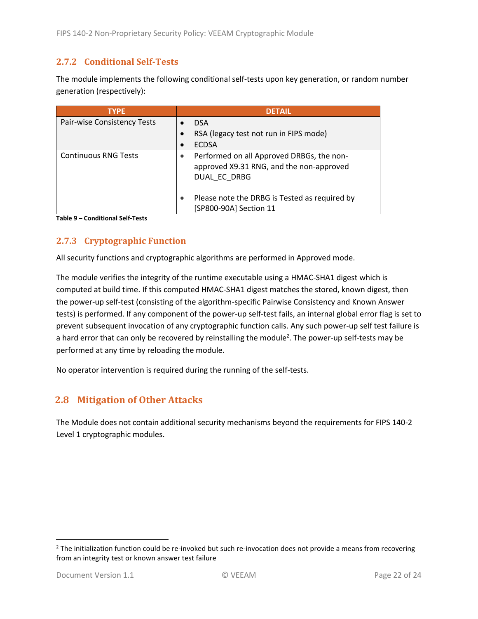### <span id="page-21-0"></span>**2.7.2 Conditional Self-Tests**

The module implements the following conditional self-tests upon key generation, or random number generation (respectively):

| <b>TYPE</b>                 | <b>DETAIL</b>                                                                                         |
|-----------------------------|-------------------------------------------------------------------------------------------------------|
| Pair-wise Consistency Tests | <b>DSA</b>                                                                                            |
|                             | RSA (legacy test not run in FIPS mode)                                                                |
|                             | <b>ECDSA</b>                                                                                          |
| <b>Continuous RNG Tests</b> | Performed on all Approved DRBGs, the non-<br>approved X9.31 RNG, and the non-approved<br>DUAL EC DRBG |
|                             | Please note the DRBG is Tested as required by<br>[SP800-90A] Section 11                               |

**Table 9 – Conditional Self-Tests**

## <span id="page-21-1"></span>**2.7.3 Cryptographic Function**

All security functions and cryptographic algorithms are performed in Approved mode.

The module verifies the integrity of the runtime executable using a HMAC-SHA1 digest which is computed at build time. If this computed HMAC-SHA1 digest matches the stored, known digest, then the power-up self-test (consisting of the algorithm-specific Pairwise Consistency and Known Answer tests) is performed. If any component of the power-up self-test fails, an internal global error flag is set to prevent subsequent invocation of any cryptographic function calls. Any such power-up self test failure is a hard error that can only be recovered by reinstalling the module<sup>2</sup>. The power-up self-tests may be performed at any time by reloading the module.

No operator intervention is required during the running of the self-tests.

## <span id="page-21-2"></span>**2.8 Mitigation of Other Attacks**

The Module does not contain additional security mechanisms beyond the requirements for FIPS 140-2 Level 1 cryptographic modules.

 $2$  The initialization function could be re-invoked but such re-invocation does not provide a means from recovering from an integrity test or known answer test failure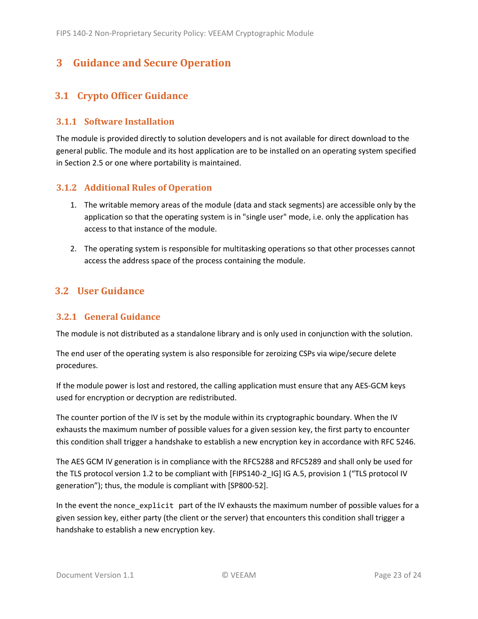# <span id="page-22-0"></span>**3 Guidance and Secure Operation**

## <span id="page-22-1"></span>**3.1 Crypto Officer Guidance**

#### <span id="page-22-2"></span>**3.1.1 Software Installation**

The module is provided directly to solution developers and is not available for direct download to the general public. The module and its host application are to be installed on an operating system specified in Section [2.5](#page-13-2) or one where portability is maintained.

### <span id="page-22-3"></span>**3.1.2 Additional Rules of Operation**

- 1. The writable memory areas of the module (data and stack segments) are accessible only by the application so that the operating system is in "single user" mode, i.e. only the application has access to that instance of the module.
- 2. The operating system is responsible for multitasking operations so that other processes cannot access the address space of the process containing the module.

## <span id="page-22-4"></span>**3.2 User Guidance**

### <span id="page-22-5"></span>**3.2.1 General Guidance**

The module is not distributed as a standalone library and is only used in conjunction with the solution.

The end user of the operating system is also responsible for zeroizing CSPs via wipe/secure delete procedures.

If the module power is lost and restored, the calling application must ensure that any AES-GCM keys used for encryption or decryption are redistributed.

The counter portion of the IV is set by the module within its cryptographic boundary. When the IV exhausts the maximum number of possible values for a given session key, the first party to encounter this condition shall trigger a handshake to establish a new encryption key in accordance with RFC 5246.

The AES GCM IV generation is in compliance with the RFC5288 and RFC5289 and shall only be used for the TLS protocol version 1.2 to be compliant with [FIPS140-2 IG] IG A.5, provision 1 ("TLS protocol IV generation"); thus, the module is compliant with [SP800-52].

In the event the nonce\_explicit part of the IV exhausts the maximum number of possible values for a given session key, either party (the client or the server) that encounters this condition shall trigger a handshake to establish a new encryption key.